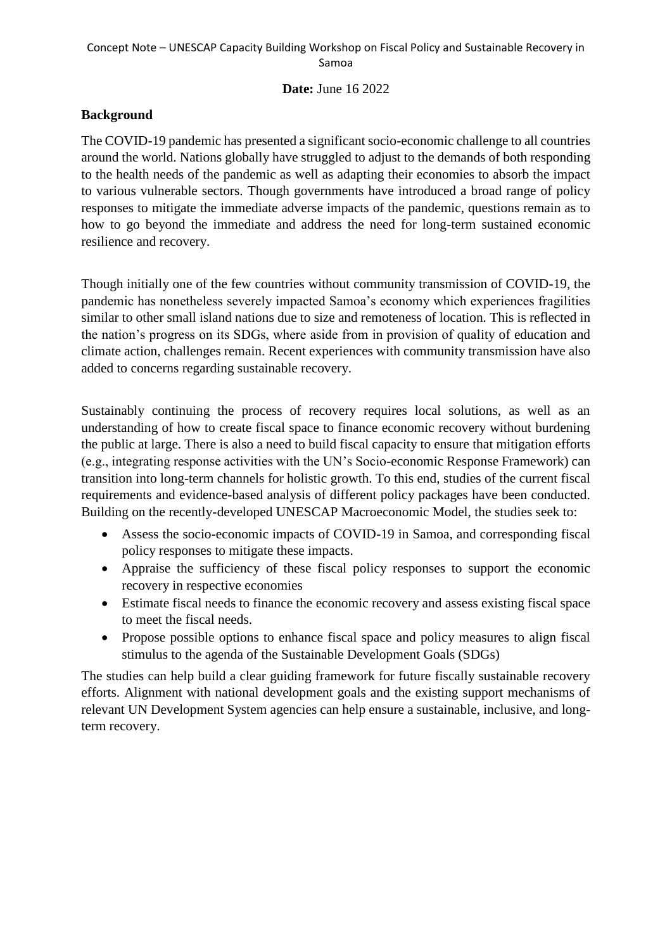#### **Date:** June 16 2022

## **Background**

The COVID-19 pandemic has presented a significant socio-economic challenge to all countries around the world. Nations globally have struggled to adjust to the demands of both responding to the health needs of the pandemic as well as adapting their economies to absorb the impact to various vulnerable sectors. Though governments have introduced a broad range of policy responses to mitigate the immediate adverse impacts of the pandemic, questions remain as to how to go beyond the immediate and address the need for long-term sustained economic resilience and recovery.

Though initially one of the few countries without community transmission of COVID-19, the pandemic has nonetheless severely impacted Samoa's economy which experiences fragilities similar to other small island nations due to size and remoteness of location. This is reflected in the nation's progress on its SDGs, where aside from in provision of quality of education and climate action, challenges remain. Recent experiences with community transmission have also added to concerns regarding sustainable recovery.

Sustainably continuing the process of recovery requires local solutions, as well as an understanding of how to create fiscal space to finance economic recovery without burdening the public at large. There is also a need to build fiscal capacity to ensure that mitigation efforts (e.g., integrating response activities with the UN's Socio-economic Response Framework) can transition into long-term channels for holistic growth. To this end, studies of the current fiscal requirements and evidence-based analysis of different policy packages have been conducted. Building on the recently-developed UNESCAP Macroeconomic Model, the studies seek to:

- Assess the socio-economic impacts of COVID-19 in Samoa, and corresponding fiscal policy responses to mitigate these impacts.
- Appraise the sufficiency of these fiscal policy responses to support the economic recovery in respective economies
- Estimate fiscal needs to finance the economic recovery and assess existing fiscal space to meet the fiscal needs.
- Propose possible options to enhance fiscal space and policy measures to align fiscal stimulus to the agenda of the Sustainable Development Goals (SDGs)

The studies can help build a clear guiding framework for future fiscally sustainable recovery efforts. Alignment with national development goals and the existing support mechanisms of relevant UN Development System agencies can help ensure a sustainable, inclusive, and longterm recovery.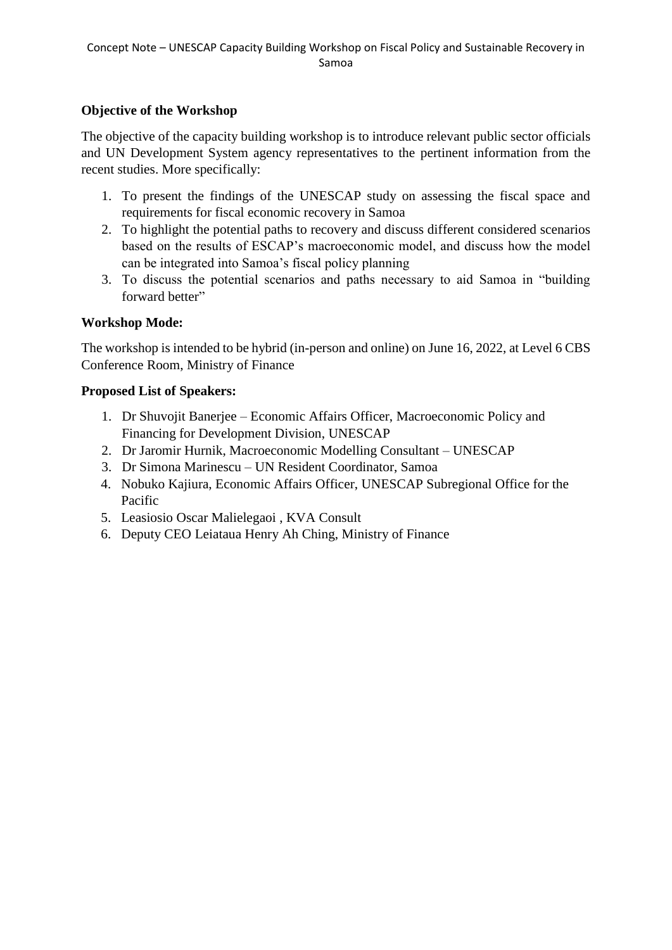# **Objective of the Workshop**

The objective of the capacity building workshop is to introduce relevant public sector officials and UN Development System agency representatives to the pertinent information from the recent studies. More specifically:

- 1. To present the findings of the UNESCAP study on assessing the fiscal space and requirements for fiscal economic recovery in Samoa
- 2. To highlight the potential paths to recovery and discuss different considered scenarios based on the results of ESCAP's macroeconomic model, and discuss how the model can be integrated into Samoa's fiscal policy planning
- 3. To discuss the potential scenarios and paths necessary to aid Samoa in "building forward better"

## **Workshop Mode:**

The workshop is intended to be hybrid (in-person and online) on June 16, 2022, at Level 6 CBS Conference Room, Ministry of Finance

## **Proposed List of Speakers:**

- 1. Dr Shuvojit Banerjee Economic Affairs Officer, Macroeconomic Policy and Financing for Development Division, UNESCAP
- 2. Dr Jaromir Hurnik, Macroeconomic Modelling Consultant UNESCAP
- 3. Dr Simona Marinescu UN Resident Coordinator, Samoa
- 4. Nobuko Kajiura, Economic Affairs Officer, UNESCAP Subregional Office for the Pacific
- 5. Leasiosio Oscar Malielegaoi , KVA Consult
- 6. Deputy CEO Leiataua Henry Ah Ching, Ministry of Finance